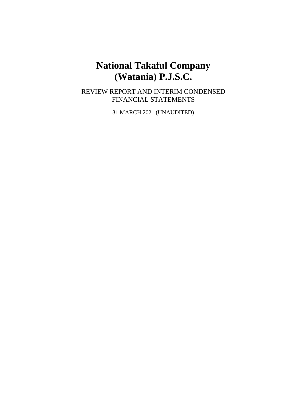# **National Takaful Company (Watania) P.J.S.C.**

REVIEW REPORT AND INTERIM CONDENSED FINANCIAL STATEMENTS

31 MARCH 2021 (UNAUDITED)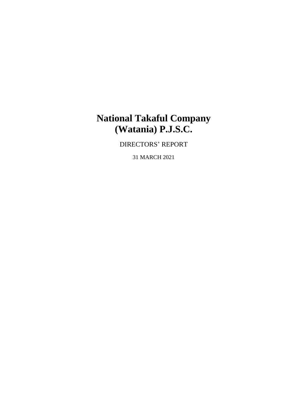# **National Takaful Company (Watania) P.J.S.C.**

DIRECTORS' REPORT

31 MARCH 2021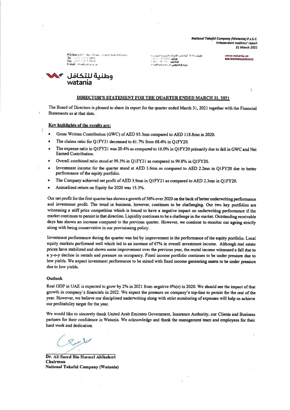National Takaful Company (Watania) P.J.S.C. Independent auditors' report 31 March 2021

P.O.Box 6457. Abs Dhabi, unded Arab Emirates Tel (++7) die 13 3885<br>Fax: ++71 die 12 4900 E-mail: nto@vastania.nd

وطنية للتكافل<br>watania

صيب ١٤٥٧ أنوحتين الإمارات العربية المبحدة مانف AAAA مانه<br>مانف AAAA مانه ب informational and deleted by

www.watania.ar 800-WATANIA(9282642)

### DIRECTOR'S STATEMENT FOR THE QUARTER ENDED MARCH 31, 2021

The Board of Directors is pleased to share its report for the quarter ended March 31, 2021 together with the Financial Statements as at that date.

#### Key highlights of the results are:

- Gross Written Contribution (GWC) of AED 93.3mn compared to AED 118.8mn in 2020.
- The claims ratio for Q1FY21 decreased to 61.7% from 68.4% in Q1FY20.  $\blacksquare$
- The expense ratio in Q1FY21 was 20.4% as compared to 16.0% in Q1FY20 primarily due to fall in GWC and Net ö Earned Contribution.
- Overall combined ratio stood at 99.3% in Q1FY21 as compared to 99.8% in O1FY20.
- Investment income for the quarter stood at AED 3.6mn as compared to AED 2.2mn in Q1FY20 due to better  $\bullet$ performance of the equity portfolio.
- The Company achieved net profit of AED 3.9mn in QIFY21 as compared to AED 2.3mn in QIFY20.
- Annualized return on Equity for 2020 was 15.3%.

Our net profit for the first quarter has shown a growth of 56% over 2020 on the back of better underwriting performance and investment profit. The trend in business, however, continues to be challenging. Our two key portfolios are witnessing a stiff price competition which is bound to have a negative impact on underwriting performance if the market continues to persist in that direction. Liquidity continues to be a challenge in the market. Outstanding receivable days has shown an increase compared to the previous quarter. However, we continue to monitor our ageing strictly along with being conservative in our provisioning policy.

Investment performance during the quarter was led by improvement in the performance of the equity portfolio. Local equity markets performed well which led to an increase of 67% in overall investment income. Although real estate prices have stabilized and shown some improvement over the previous year, the rental income witnessed a fall due to a y-o-y decline in rentals and pressure on occupancy. Fixed income portfolio continues to be under pressure due to low yields. We expect investment performance to be mixed with fixed income generating assets to be under pressure due to low yields.

#### Outlook

Real GDP in UAE is expected to grow by 2% in 2021 from negative 6%(e) in 2020. We should see the impact of that growth in company's financials in 2022. We expect the pressure on company's top-line to persist for the rest of the year. However, we believe our disciplined underwriting along with strict monitoring of expenses will help us achieve our profitability target for the year.

We would like to sincerely thank United Arab Emirates Government, Insurance Authority, our Clients and Business partners for their confidence in Watania. We acknowledge and thank the management team and employees for their hard work and dedication.

Dr. Ali Saeed Bin Harmel Aldhaheri Chairman National Takaful Company (Watania)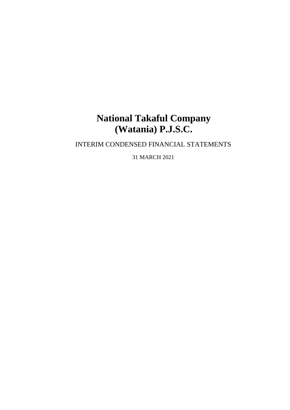# **National Takaful Company (Watania) P.J.S.C.**

# INTERIM CONDENSED FINANCIAL STATEMENTS

31 MARCH 2021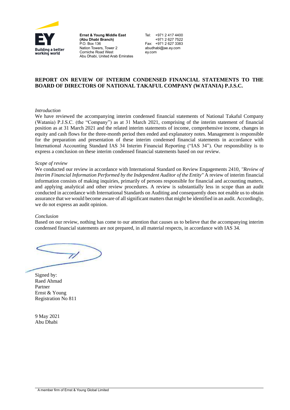

**Ernst & Young Middle East (Abu Dhabi Branch)** P.O. Box 136 Nation Towers, Tower 2 Corniche Road West Abu Dhabi, United Arab Emirates Tel: +971 2 417 4400 +971 2 627 7522 Fax: +971 2 627 3383 [abudhabi@ae.ey.com](mailto:abudhabi@ae.ey.com) [ey.com](http://www.ey.com/mena)

## **REPORT ON REVIEW OF INTERIM CONDENSED FINANCIAL STATEMENTS TO THE BOARD OF DIRECTORS OF NATIONAL TAKAFUL COMPANY (WATANIA) P.J.S.C.**

### *Introduction*

We have reviewed the accompanying interim condensed financial statements of National Takaful Company (Watania) P.J.S.C. (the "Company") as at 31 March 2021, comprising of the interim statement of financial position as at 31 March 2021 and the related interim statements of income, comprehensive income, changes in equity and cash flows for the three-month period then ended and explanatory notes. Management is responsible for the preparation and presentation of these interim condensed financial statements in accordance with International Accounting Standard IAS 34 Interim Financial Reporting ("IAS 34"). Our responsibility is to express a conclusion on these interim condensed financial statements based on our review.

#### *Scope of review*

We conducted our review in accordance with International Standard on Review Engagements 2410*, ''Review of Interim Financial Information Performed by the Independent Auditor of the Entity"* A review of interim financial information consists of making inquiries, primarily of persons responsible for financial and accounting matters, and applying analytical and other review procedures. A review is substantially less in scope than an audit conducted in accordance with International Standards on Auditing and consequently does not enable us to obtain assurance that we would become aware of all significant matters that might be identified in an audit. Accordingly, we do not express an audit opinion.

### *Conclusion*

Based on our review, nothing has come to our attention that causes us to believe that the accompanying interim condensed financial statements are not prepared, in all material respects, in accordance with IAS 34.

 $\overline{Z}$ 

Signed by: Raed Ahmad Partner Ernst & Young Registration No 811

9 May 2021 Abu Dhabi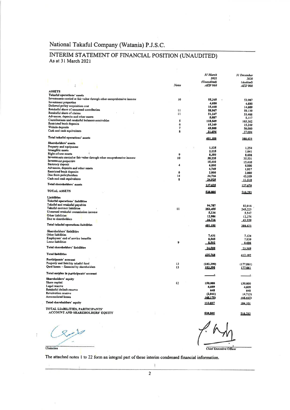# National Takaful Company (Watania) P.J.S.C.

# INTERIM STATEMENT OF FINANCIAL POSITION (UNAUDITED) As at 31 March 2021

|                                                                              |                     | <b>31 March</b><br>2021       | 31 December<br>2020         |
|------------------------------------------------------------------------------|---------------------|-------------------------------|-----------------------------|
|                                                                              | <b>Notes</b>        | (Unaudited)<br><b>AED'000</b> | (Audited)<br><b>AED'000</b> |
|                                                                              |                     |                               |                             |
| <b>ASSETS</b><br>Takaful operations' assets                                  |                     |                               |                             |
| Investments carried at fair value through other comprehensive income         | 10                  |                               |                             |
| Investment properties                                                        |                     | 55,345<br>4,600               | 53,987                      |
| Deferred policy acquisition cost                                             |                     | 15,440                        | 4,600<br>14,609             |
| Retakaful share of unearned contribution                                     | $\mathbf{u}$        | 58,967                        | 59,139                      |
| Retakaful share of claims                                                    | $\mathbf{1}$        | 51, 247                       | 53,466                      |
| Advances, deposits and other assets                                          |                     | 5,087                         | 5,117                       |
| Contributions and retakaful bulances receivables<br>Restricted bank deposits | Ś                   | 118.549                       | 105,362                     |
| Wakala deposits                                                              | 6<br>$\overline{7}$ | 15,249                        | 15,249                      |
| Cash and cash equivalents                                                    | 8                   | 45,000<br>31.696              | 50,000                      |
|                                                                              |                     |                               | 27.094                      |
| Total takaful operations' assets                                             |                     | 401.180                       | 388.623                     |
| Shareholders' assets                                                         |                     |                               |                             |
| Property and equipment<br>Intangible assets                                  |                     | 1,125                         | 1,254                       |
| Right-of-use-assets                                                          | $\boldsymbol{9}$    | 2,115                         | 1,841                       |
| Investments carried at fair value through other comprehensive income         | 10                  | 8,360<br>38,235               | 8,608                       |
| Investment properties                                                        |                     | 15,410                        | 35,531<br>15,410            |
| Statutory deposit                                                            | 4                   | 6,000                         | 6,000                       |
| Advances, deposits and other assets                                          |                     | 4,749                         | 1,957                       |
| Restricted bank deposits                                                     | 6                   | 2,000                         | 2,000                       |
| Due from policyholders                                                       | 14                  | 34.716                        | 43,559                      |
| Cash and cosh equivalents                                                    | 8                   | <u> 24.925</u>                | 11.510                      |
| Total shareholders' assets                                                   |                     | 137.625                       | 127,670                     |
| <b>TOTAL ASSETS</b>                                                          |                     | 538,805                       | 516.293                     |
| Liabilities                                                                  |                     |                               |                             |
| Takaful operations' liabilities                                              |                     |                               |                             |
| Takaful and retakaful payables                                               |                     | 94,787                        | 82.016                      |
| Takaful contract liabilities                                                 | $\mathbf{u}$        | 253,455                       | 245,225                     |
| Unearned retakaful commission income                                         |                     | 5,236                         | 5.547                       |
| <b>Other liabilities</b><br>Due to shareholders                              |                     | 12.986                        | 12.276                      |
|                                                                              |                     | <u>-34.716</u>                | 13.559                      |
| Total takaful operations liabilities                                         |                     | 401.180                       | 388.623                     |
| <b>Shareholders' liabilities</b><br>Other liabilities                        |                     |                               |                             |
| Employees' end of service benefits                                           |                     | 7.431                         | 7.124                       |
| Leuse liabilities                                                            | 9                   | 8,565<br>8.592                | 7,839                       |
| Total shareholders' liabilities                                              |                     |                               | 8.606                       |
|                                                                              |                     | 24.588                        | <u>23.569</u>               |
| <b>Total linbilities</b>                                                     |                     | <b>125.76B</b>                | 112.192                     |
| Participants' account                                                        |                     |                               |                             |
| Property and liability takaful fund                                          | 13                  | (183,390)                     | (177,061)                   |
| Qard hasan - financed by shareholders                                        | 13                  | 183.390                       | 177.061                     |
| Total surplus in participants' account                                       |                     |                               |                             |
| Shareholders' equity                                                         |                     |                               |                             |
| Shore capital                                                                | $\mathbf{12}$       | 150,000                       | 150,000                     |
| Legal reserve<br>Retakaful default reserve                                   |                     | 4,609                         | 4,609                       |
| Revaluation reserve                                                          |                     | 648                           | 648                         |
| Accumulated losses                                                           |                     | (2, 041)<br>140.179)          | (4,713)<br>146.443)         |
| Total shareholders' equity                                                   |                     | <u>113.037</u>                | T04 TOT                     |
| TOTAL LIABILITIES, PARTICIPANTS'                                             |                     |                               |                             |
| <b>ACCOUNT AND SHAREHOLDERS' EQUITY</b>                                      |                     | 538.805                       | 516.293                     |

 $8 - 10$ Chainnan

 $\bar{l}$ 

Chief Executive Officer

The attached notes 1 to 22 form an integral part of these interim condensed financial information.

 $\overline{2}$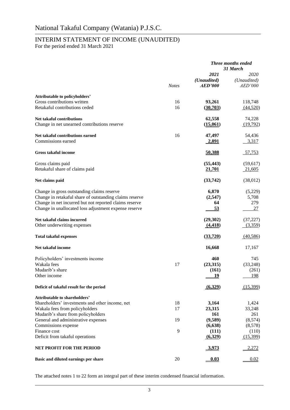# INTERIM STATEMENT OF INCOME (UNAUDITED)

For the period ended 31 March 2021

|                                                                           |              |                                       | <b>Three months ended</b><br>31 March |
|---------------------------------------------------------------------------|--------------|---------------------------------------|---------------------------------------|
|                                                                           | <b>Notes</b> | 2021<br>(Unaudited)<br><b>AED'000</b> | 2020<br>(Unaudited)<br><b>AED'000</b> |
| Attributable to policyholders'                                            |              |                                       |                                       |
| Gross contributions written                                               | 16           | 93,261                                | 118,748                               |
| Retakaful contributions ceded                                             | 16           | (30,703)                              | (44,520)                              |
| <b>Net takaful contributions</b>                                          |              | 62,558                                | 74,228                                |
| Change in net unearned contributions reserve                              |              | (15,061)                              | (19,792)                              |
| Net takaful contributions earned                                          | 16           | 47,497                                | 54,436                                |
| Commissions earned                                                        |              | <u>2,891</u>                          | 3,317                                 |
| <b>Gross takaful income</b>                                               |              | 50,388                                | 57,753                                |
| Gross claims paid                                                         |              | (55, 443)                             | (59,617)                              |
| Retakaful share of claims paid                                            |              | 21,701                                | 21,605                                |
| Net claims paid                                                           |              | (33,742)                              | (38,012)                              |
| Change in gross outstanding claims reserve                                |              | 6,870                                 | (5,229)                               |
| Change in retakaful share of outstanding claims reserve                   |              | (2,547)                               | 5,708                                 |
| Change in net incurred but not reported claims reserve                    |              | 64                                    | 279                                   |
| Change in unallocated loss adjustment expense reserve                     |              | <u>53</u>                             | 27                                    |
| Net takaful claims incurred                                               |              | (29, 302)                             | (37, 227)                             |
| Other underwriting expenses                                               |              | (4, 418)                              | (3,359)                               |
| <b>Total takaful expenses</b>                                             |              | (33, 720)                             | (40,586)                              |
| Net takaful income                                                        |              | 16,668                                | 17,167                                |
| Policyholders' investments income                                         |              | 460                                   | 745                                   |
| Wakala fees                                                               | 17           | (23,315)                              | (33,248)                              |
| Mudarib's share                                                           |              | (161)                                 | (261)                                 |
| Other income                                                              |              | 19                                    | <u> 198</u>                           |
| Deficit of takaful result for the period                                  |              | (6.329)                               | (15,399)                              |
| <b>Attributable to shareholders'</b>                                      |              |                                       |                                       |
| Shareholders' investments and other income, net                           | 18           | 3,164                                 | 1,424                                 |
| Wakala fees from policyholders                                            | 17           | 23,315                                | 33,248                                |
| Mudarib's share from policyholders<br>General and administrative expenses | 19           | 161<br>(9,589)                        | 261<br>(8,574)                        |
| Commissions expense                                                       |              | (6,638)                               | (8,578)                               |
| Finance cost                                                              | 9            | (111)                                 | (110)                                 |
| Deficit from takaful operations                                           |              | (6,329)                               | (15,399)                              |
| <b>NET PROFIT FOR THE PERIOD</b>                                          |              | <u>3,973</u>                          | 2,272                                 |
| Basic and diluted earnings per share                                      | 20           | 0.03                                  | 0.02                                  |

The attached notes 1 to 22 form an integral part of these interim condensed financial information.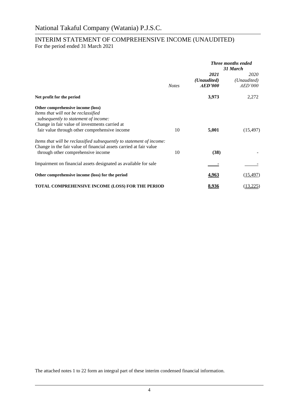# INTERIM STATEMENT OF COMPREHENSIVE INCOME (UNAUDITED) For the period ended 31 March 2021

|                                                                                                                                                                                                                     |              | <b>Three months ended</b><br>31 March |                                       |  |
|---------------------------------------------------------------------------------------------------------------------------------------------------------------------------------------------------------------------|--------------|---------------------------------------|---------------------------------------|--|
|                                                                                                                                                                                                                     | <b>Notes</b> | 2021<br>(Unaudited)<br>AED'000        | 2020<br>(Unaudited)<br><i>AED'000</i> |  |
| Net profit for the period                                                                                                                                                                                           |              | 3,973                                 | 2,272                                 |  |
| Other comprehensive income (loss)<br>Items that will not be reclassified<br>subsequently to statement of income:<br>Change in fair value of investments carried at<br>fair value through other comprehensive income | 10           | 5,001                                 | (15, 497)                             |  |
| Items that will be reclassified subsequently to statement of income:<br>Change in the fair value of financial assets carried at fair value<br>through other comprehensive income                                    | 10           | (38)                                  |                                       |  |
| Impairment on financial assets designated as available for sale                                                                                                                                                     |              |                                       |                                       |  |
| Other comprehensive income (loss) for the period                                                                                                                                                                    |              | 4,963                                 | (15, 497)                             |  |
| TOTAL COMPREHENSIVE INCOME (LOSS) FOR THE PERIOD                                                                                                                                                                    |              | 8,936                                 | (13,225)                              |  |

The attached notes 1 to 22 form an integral part of these interim condensed financial information.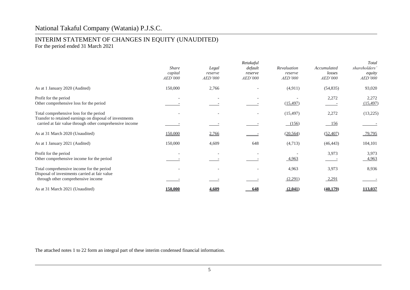# National Takaful Company (Watania) P.J.S.C.

# INTERIM STATEMENT OF CHANGES IN EQUITY (UNAUDITED)

For the period ended 31 March 2021

|                                                                                                                      | <b>Share</b><br>capital<br><i>AED'000</i> | Legal<br>reserve<br>AED'000 | Retakaful<br>default<br>reserve<br>AED'000 | Revaluation<br>reserve<br>AED'000 | Accumulated<br>losses<br>AED'000 | Total<br>shareholders'<br>equity<br>AED'000 |
|----------------------------------------------------------------------------------------------------------------------|-------------------------------------------|-----------------------------|--------------------------------------------|-----------------------------------|----------------------------------|---------------------------------------------|
| As at 1 January 2020 (Audited)                                                                                       | 150,000                                   | 2,766                       |                                            | (4,911)                           | (54, 835)                        | 93,020                                      |
| Profit for the period<br>Other comprehensive loss for the period                                                     |                                           |                             |                                            | (15, 497)                         | 2,272                            | 2,272<br>(15, 497)                          |
| Total comprehensive loss for the period                                                                              |                                           |                             |                                            | (15, 497)                         | 2,272                            | (13,225)                                    |
| Transfer to retained earnings on disposal of investments<br>carried at fair value through other comprehensive income |                                           |                             |                                            | (156)                             | 156                              |                                             |
| As at 31 March 2020 (Unaudited)                                                                                      | 150,000                                   | 2,766                       |                                            | (20, 564)                         | (52, 407)                        | 79,795                                      |
| As at 1 January 2021 (Audited)                                                                                       | 150,000                                   | 4,609                       | 648                                        | (4,713)                           | (46, 443)                        | 104,101                                     |
| Profit for the period<br>Other comprehensive income for the period                                                   |                                           |                             |                                            | 4,963                             | 3,973                            | 3,973<br>4,963                              |
| Total comprehensive income for the period                                                                            |                                           |                             |                                            | 4,963                             | 3,973                            | 8,936                                       |
| Disposal of investments carried at fair value<br>through other comprehensive income                                  |                                           |                             |                                            | (2,291)                           | 2,291                            |                                             |
| As at 31 March 2021 (Unaudited)                                                                                      | 150,000                                   | 4,609                       | 648                                        | (2,041)                           | (40,179)                         | 113,037                                     |

The attached notes 1 to 22 form an integral part of these interim condensed financial information.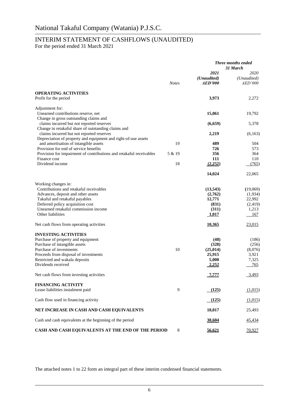# INTERIM STATEMENT OF CASHFLOWS (UNAUDITED)

For the period ended 31 March 2021

|                                                                                                                                            |              | <b>Three months ended</b><br>31 March        |                                       |
|--------------------------------------------------------------------------------------------------------------------------------------------|--------------|----------------------------------------------|---------------------------------------|
|                                                                                                                                            | <b>Notes</b> | 2021<br>(Unaudited)<br><i><b>AED'000</b></i> | 2020<br>(Unaudited)<br><i>AED'000</i> |
| <b>OPERATING ACTIVITIES</b><br>Profit for the period                                                                                       |              | 3,973                                        | 2,272                                 |
| Adjustment for:<br>Unearned contributions reserve, net                                                                                     |              | 15,061                                       | 19,792                                |
| Change in gross outstanding claims and<br>claims incurred but not reported reserves<br>Change in retakaful share of outstanding claims and |              | (6, 659)                                     | 5,378                                 |
| claims incurred but not reported reserves<br>Depreciation of property and equipment and right-of-use assets                                |              | 2,219                                        | (6,163)                               |
| and amortisation of intangible assets                                                                                                      | 19           | 489                                          | 504                                   |
| Provision for end of service benefits                                                                                                      |              | 726                                          | 573                                   |
| Provision for impairment of contributions and retakaful receivables<br>Finance cost                                                        | 5 & 19       | 356<br>111                                   | 364<br>110                            |
| Dividend income                                                                                                                            | 18           | (2,252)                                      | (765)                                 |
|                                                                                                                                            |              | 14,024                                       | 22,065                                |
| Working changes in:                                                                                                                        |              |                                              |                                       |
| Contributions and retakaful receivables<br>Advances, deposit and other assets                                                              |              | (13,543)<br>(2,762)                          | (19,069)<br>(1,934)                   |
| Takaful and retakaful payables                                                                                                             |              | 12,771                                       | 22,992                                |
| Deferred policy acquisition cost                                                                                                           |              | (831)                                        | (2, 419)                              |
| Unearned retakaful commission income                                                                                                       |              | (311)                                        | 1,213                                 |
| Other liabilities                                                                                                                          |              | <u>1,017</u>                                 | 167                                   |
| Net cash flows from operating activities                                                                                                   |              | <u>10,365</u>                                | 23,015                                |
| <b>INVESTING ACTIVITIES</b>                                                                                                                |              |                                              |                                       |
| Purchase of property and equipment                                                                                                         |              | (48)                                         | (186)                                 |
| Purchase of intangible assets                                                                                                              |              | (328)                                        | (256)                                 |
| Purchase of investments                                                                                                                    | 10           | (25, 014)                                    | (8,076)                               |
| Proceeds from disposal of investments                                                                                                      |              | 25,915<br>5,000                              | 3,921<br>7,325                        |
| Restricted and wakala deposits<br>Dividends received                                                                                       |              | <u>2,252</u>                                 | 765                                   |
| Net cash flows from investing activities                                                                                                   |              | 7,777                                        | 3,493                                 |
| <b>FINANCING ACTIVITY</b>                                                                                                                  |              |                                              |                                       |
| Lease liabilities instalment paid                                                                                                          | 9            | (125)                                        | (1,015)                               |
| Cash flow used in financing activity                                                                                                       |              | (125)                                        | (1,015)                               |
| NET INCREASE IN CASH AND CASH EQUIVALENTS                                                                                                  |              | 18,017                                       | 25,493                                |
| Cash and cash equivalents at the beginning of the period                                                                                   |              | 38,604                                       | 45,434                                |
| CASH AND CASH EQUIVALENTS AT THE END OF THE PERIOD                                                                                         | 8            | 56,621                                       | 70,927                                |

The attached notes 1 to 22 form an integral part of these interim condensed financial statements.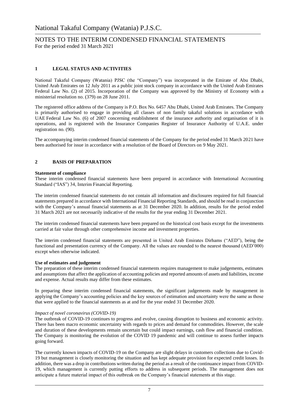## **1 LEGAL STATUS AND ACTIVITIES**

National Takaful Company (Watania) PJSC (the "Company") was incorporated in the Emirate of Abu Dhabi, United Arab Emirates on 12 July 2011 as a public joint stock company in accordance with the United Arab Emirates Federal Law No. (2) of 2015. Incorporation of the Company was approved by the Ministry of Economy with a ministerial resolution no. (379) on 28 June 2011.

The registered office address of the Company is P.O. Box No. 6457 Abu Dhabi, United Arab Emirates. The Company is primarily authorised to engage in providing all classes of non family takaful solutions in accordance with UAE Federal Law No. (6) of 2007 concerning establishment of the insurance authority and organisation of it is operations, and is registered with the Insurance Companies Register of Insurance Authority of U.A.E. under registration no. (90).

The accompanying interim condensed financial statements of the Company for the period ended 31 March 2021 have been authorised for issue in accordance with a resolution of the Board of Directors on 9 May 2021.

## **2 BASIS OF PREPARATION**

## **Statement of compliance**

These interim condensed financial statements have been prepared in accordance with International Accounting Standard ("IAS") 34, Interim Financial Reporting.

The interim condensed financial statements do not contain all information and disclosures required for full financial statements prepared in accordance with International Financial Reporting Standards, and should be read in conjunction with the Company's annual financial statements as at 31 December 2020. In addition, results for the period ended 31 March 2021 are not necessarily indicative of the results for the year ending 31 December 2021.

The interim condensed financial statements have been prepared on the historical cost basis except for the investments carried at fair value through other comprehensive income and investment properties.

The interim condensed financial statements are presented in United Arab Emirates Dirhams ("AED"), being the functional and presentation currency of the Company. All the values are rounded to the nearest thousand (AED'000) except when otherwise indicated.

### **Use of estimates and judgement**

The preparation of these interim condensed financial statements requires management to make judgements, estimates and assumptions that affect the application of accounting policies and reported amounts of assets and liabilities, income and expense. Actual results may differ from these estimates.

In preparing these interim condensed financial statements, the significant judgements made by management in applying the Company's accounting policies and the key sources of estimation and uncertainty were the same as those that were applied to the financial statements as at and for the year ended 31 December 2020.

### *Impact of novel coronavirus (COVID-19)*

The outbreak of COVID-19 continues to progress and evolve, causing disruption to business and economic activity. There has been macro economic uncertainty with regards to prices and demand for commodities. However, the scale and duration of these developments remain uncertain but could impact earnings, cash flow and financial condition. The Company is monitoring the evolution of the COVID 19 pandemic and will continue to assess further impacts going forward.

The currently known impacts of COVID-19 on the Company are slight delays in customers collections due to Covid-19 but management is closely monitoring the situation and has kept adequate provision for expected credit losses. In addition, there was a drop in contributions written during the period as a result of the continuance impact from COVID-19, which management is currently putting efforts to address in subsequent periods. The management does not anticipate a future material impact of this outbreak on the Company's financial statements at this stage.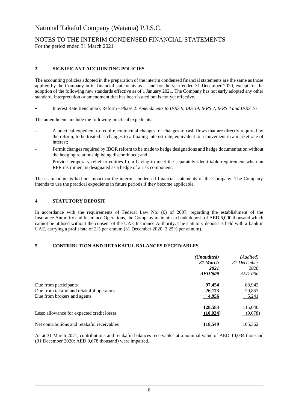## **3 SIGNIFICANT ACCOUNTING POLICIES**

The accounting policies adopted in the preparation of the interim condensed financial statements are the same as those applied by the Company in its financial statements as at and for the year ended 31 December 2020, except for the adoption of the following new standards effective as of 1 January 2021. The Company has not early adopted any other standard, interpretation or amendment that has been issued but is not yet effective.

• Interest Rate Benchmark Reform - Phase 2: *Amendments to IFRS 9, IAS 39, IFRS 7, IFRS 4 and IFRS 16*

The amendments include the following practical expedients:

- A practical expedient to require contractual changes, or changes to cash flows that are directly required by the reform, to be treated as changes to a floating interest rate, equivalent to a movement in a market rate of interest;
- Permit changes required by IBOR reform to be made to hedge designations and hedge documentation without the hedging relationship being discontinued; and
- Provide temporary relief to entities from having to meet the separately identifiable requirement when an RFR instrument is designated as a hedge of a risk component.

These amendments had no impact on the interim condensed financial statements of the Company. The Company intends to use the practical expedients in future periods if they become applicable.

## **4 STATUTORY DEPOSIT**

In accordance with the requirements of Federal Law No. (6) of 2007, regarding the establishment of the Insurance Authority and Insurance Operations, the Company maintains a bank deposit of AED 6,000 thousand which cannot be utilised without the consent of the UAE Insurance Authority. The statutory deposit is held with a bank in UAE, carrying a profit rate of 2% per annum (31 December 2020: 3.25% per annum).

## **5 CONTRIBUTION AND RETAKAFUL BALANCES RECEIVABLES**

|                                                                                                  | ( <i>Unaudited</i> )<br>31 March<br>2021<br>AED'000 | (Audited)<br>31 December<br>2020<br><i>AED'000</i> |
|--------------------------------------------------------------------------------------------------|-----------------------------------------------------|----------------------------------------------------|
| Due from participants<br>Due from takaful and retakaful operators<br>Due from brokers and agents | 97,454<br>26,173<br>4,956                           | 88,942<br>20,857<br>5,241                          |
| Less: allowance for expected credit losses                                                       | 128,583<br>(10, 034)                                | 115,040<br>(9,678)                                 |
| Net contributions and retakaful receivables                                                      | 118,549                                             | 105,362                                            |

As at 31 March 2021, contributions and retakaful balances receivables at a nominal value of AED 10,034 thousand (31 December 2020: AED 9,678 thousand) were impaired.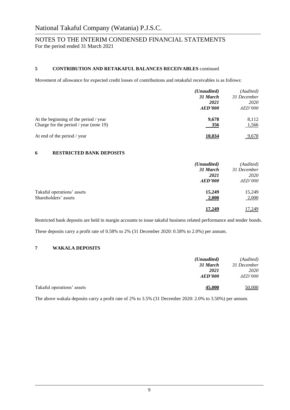## **5 CONTRIBUTION AND RETAKAFUL BALANCES RECEIVABLES** continued

Movement of allowance for expected credit losses of contributions and retakaful receivables is as follows:

|                                                                                 | ( <i>Unaudited</i> )<br>31 March<br>2021<br>AED'000 | (Audited)<br>31 December<br>2020<br>AED'000 |
|---------------------------------------------------------------------------------|-----------------------------------------------------|---------------------------------------------|
| At the beginning of the period / year<br>Charge for the period / year (note 19) | 9.678<br>356                                        | 8.112<br>1,566                              |
| At end of the period / year                                                     | 10.034                                              | 9,678                                       |

## **6 RESTRICTED BANK DEPOSITS**

|                                                    | ( <i>Unaudited</i> )<br>31 March | (Audited)<br>31 December |
|----------------------------------------------------|----------------------------------|--------------------------|
|                                                    | 2021<br>AED'000                  | 2020<br><i>AED'000</i>   |
| Takaful operations' assets<br>Shareholders' assets | 15,249<br>2,000                  | 15,249<br>2,000          |
|                                                    | 17.249                           | 17,249                   |

Restricted bank deposits are held in margin accounts to issue takaful business related performance and tender bonds. These deposits carry a profit rate of 0.58% to 2% (31 December 2020: 0.58% to 2.0%) per annum.

## **7 WAKALA DEPOSITS**

|                            | ( <i>Unaudited</i> ) | (Audited)      |
|----------------------------|----------------------|----------------|
|                            | 31 March             | 31 December    |
|                            | 2021                 | 2020           |
|                            | AED'000              | <i>AED'000</i> |
| Takaful operations' assets | 45,000               | 50,000         |

The above wakala deposits carry a profit rate of 2% to 3.5% (31 December 2020: 2.0% to 3.50%) per annum.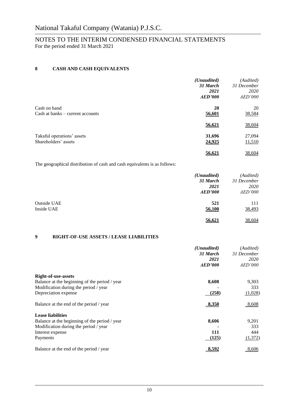## **8 CASH AND CASH EQUIVALENTS**

|                                                    | (Unaudited)<br>31 March<br>2021 | (Audited)<br>31 December<br>2020 |
|----------------------------------------------------|---------------------------------|----------------------------------|
|                                                    | AED'000                         | <i>AED'000</i>                   |
| Cash on hand<br>Cash at banks – current accounts   | <b>20</b><br>56,601             | 20<br>38,584                     |
|                                                    | 56,621                          | 38,604                           |
| Takaful operations' assets<br>Shareholders' assets | 31,696<br>24,925                | 27,094<br>11,510                 |
|                                                    | 56.621                          | 38,604                           |

The geographical distribution of cash and cash equivalents is as follows:

|             | ( <i>Unaudited</i> ) | (Audited)      |
|-------------|----------------------|----------------|
|             | 31 March             | 31 December    |
|             | 2021                 | 2020           |
|             | <b>AED'000</b>       | <i>AED'000</i> |
| Outside UAE | 521                  | 111            |
| Inside UAE  | 56,100               | 38,493         |
|             | 56,621               | 38,604         |

## **9 RIGHT-OF-USE ASSETS / LEASE LIABILITIES**

|                                               | ( <i>Unaudited</i> ) | (Audited)      |
|-----------------------------------------------|----------------------|----------------|
|                                               | 31 March             | 31 December    |
|                                               | 2021                 | 2020           |
|                                               | AED'000              | <i>AED'000</i> |
| <b>Right-of-use-assets</b>                    |                      |                |
| Balance at the beginning of the period / year | 8,608                | 9,303          |
| Modification during the period / year         |                      | 333            |
| Depreciation expense                          | (258)                | (1,028)        |
| Balance at the end of the period / year       | 8,350                | 8,608          |
| <b>Lease liabilities</b>                      |                      |                |
| Balance at the beginning of the period / year | 8,606                | 9,201          |
| Modification during the period / year         |                      | 333            |
| Interest expense                              | 111                  | 444            |
| Payments                                      | (125)                | (1,372)        |
| Balance at the end of the period / year       | 8,592                | 8,606          |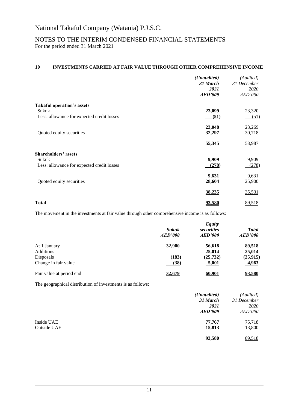# **10 INVESTMENTS CARRIED AT FAIR VALUE THROUGH OTHER COMPREHENSIVE INCOME**

|                                            | (Unaudited)<br>31 March<br>2021<br><b>AED'000</b> | (Audited)<br>31 December<br>2020<br>AED'000 |
|--------------------------------------------|---------------------------------------------------|---------------------------------------------|
| <b>Takaful operation's assets</b>          |                                                   |                                             |
| Sukuk                                      | 23,099                                            | 23,320                                      |
| Less: allowance for expected credit losses | (51)                                              | (51)                                        |
|                                            | 23,048                                            | 23,269                                      |
| Quoted equity securities                   | 32,297                                            | 30,718                                      |
|                                            | 55,345                                            | 53,987                                      |
| <b>Shareholders' assets</b>                |                                                   |                                             |
| Sukuk                                      | 9,909                                             | 9,909                                       |
| Less: allowance for expected credit losses | (278)                                             | (278)                                       |
|                                            | 9,631                                             | 9,631                                       |
| Quoted equity securities                   | 28,604                                            | 25,900                                      |
|                                            | 38,235                                            | 35,531                                      |
| Total                                      | <u>93,580</u>                                     | 89,518                                      |

The movement in the investments at fair value through other comprehensive income is as follows:

|                          |              | <b>Equity</b> |              |
|--------------------------|--------------|---------------|--------------|
|                          | <b>Sukuk</b> | securities    | <b>Total</b> |
|                          | AED'000      | AED'000       | AED'000      |
| At 1 January             | 32,900       | 56,618        | 89,518       |
| <b>Additions</b>         |              | 25,014        | 25,014       |
| Disposals                | (183)        | (25, 732)     | (25, 915)    |
| Change in fair value     | (38)         | <b>5,001</b>  | 4,963        |
| Fair value at period end | 32,679       | 60,901        | 93,580       |

The geographical distribution of investments is as follows:

|             | (Unaudited)    | (Audited)      |
|-------------|----------------|----------------|
|             | 31 March       | 31 December    |
|             | 2021           | 2020           |
|             | <b>AED'000</b> | <i>AED'000</i> |
| Inside UAE  | 77,767         | 75,718         |
| Outside UAE | 15,813         | 13,800         |
|             | 93,580         | 89,518         |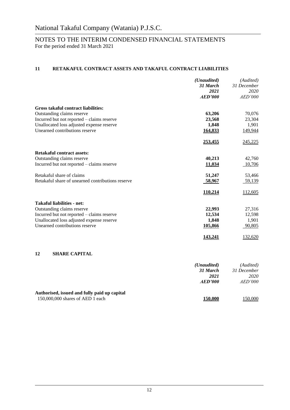# **11 RETAKAFUL CONTRACT ASSETS AND TAKAFUL CONTRACT LIABILITIES**

|                                                   | (Unaudited)    | (Audited)   |
|---------------------------------------------------|----------------|-------------|
|                                                   | 31 March       | 31 December |
|                                                   | 2021           | 2020        |
|                                                   | <b>AED'000</b> | AED'000     |
| <b>Gross takaful contract liabilities:</b>        |                |             |
| Outstanding claims reserve                        | 63,206         | 70,076      |
| Incurred but not reported - claims reserve        | 23,568         | 23,304      |
| Unallocated loss adjusted expense reserve         | 1,848          | 1,901       |
| Unearned contributions reserve                    | 164,833        | 149,944     |
|                                                   | 253,455        | 245,225     |
| <b>Retakaful contract assets:</b>                 |                |             |
| Outstanding claims reserve                        | 40,213         | 42,760      |
| Incurred but not reported - claims reserve        | 11,034         | 10,706      |
| Retakaful share of claims                         | 51,247         | 53,466      |
| Retakaful share of unearned contributions reserve | 58,967         | 59,139      |
|                                                   | 110,214        | 112,605     |
| <b>Takaful liabilities - net:</b>                 |                |             |
| Outstanding claims reserve                        | 22,993         | 27,316      |
| Incurred but not reported - claims reserve        | 12,534         | 12,598      |
| Unallocated loss adjusted expense reserve         | 1,848          | 1,901       |
| Unearned contributions reserve                    | 105,866        | 90,805      |
|                                                   | 143,241        | 132,620     |
| 12<br><b>SHARE CAPITAL</b>                        |                |             |
|                                                   |                |             |

|                                              | ( <i>Unaudited</i> ) | (Audited)      |
|----------------------------------------------|----------------------|----------------|
|                                              | 31 March             | 31 December    |
|                                              | 2021                 | 2020           |
|                                              | AED'000              | <i>AED'000</i> |
| Authorised, issued and fully paid up capital |                      |                |
| $150,000,000$ shares of AED 1 each           | 150.000              | 150,000        |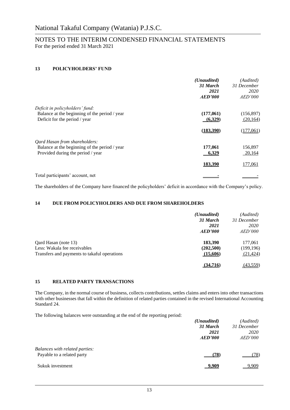## **13 POLICYHOLDERS' FUND**

|                                               | ( <i>Unaudited</i> ) | (Audited)   |
|-----------------------------------------------|----------------------|-------------|
|                                               | 31 March             | 31 December |
|                                               | 2021                 | 2020        |
|                                               | AED'000              | AED'000     |
| Deficit in policyholders' fund:               |                      |             |
| Balance at the beginning of the period / year | (177,061)            | (156, 897)  |
| Deficit for the period / year                 | (6,329)              | (20, 164)   |
|                                               | (183, 390)           | (177,061)   |
| Qard Hasan from shareholders:                 |                      |             |
| Balance at the beginning of the period / year | 177,061              | 156,897     |
| Provided during the period / year             | 6,329                | 20,164      |
|                                               | 183,390              | 177,061     |
| Total participants' account, net              |                      |             |

The shareholders of the Company have financed the policyholders' deficit in accordance with the Company's policy.

## **14 DUE FROM POLICYHOLDERS AND DUE FROM SHAREHOLDERS**

|                                              | ( <i>Unaudited</i> )<br>31 March | (Audited)<br>31 December |
|----------------------------------------------|----------------------------------|--------------------------|
|                                              | 2021                             | 2020                     |
|                                              | AED'000                          | AED'000                  |
| Qard Hasan (note 13)                         | 183,390                          | 177,061                  |
| Less: Wakala fee receivables                 | (202,500)                        | (199, 196)               |
| Transfers and payments to takaful operations | (15,606)                         | (21, 424)                |
|                                              | (34.716)                         | (43,559)                 |

## **15 RELATED PARTY TRANSACTIONS**

The Company, in the normal course of business, collects contributions, settles claims and enters into other transactions with other businesses that fall within the definition of related parties contained in the revised International Accounting Standard 24.

The following balances were outstanding at the end of the reporting period:

|                                | (Unaudited) | (Audited)      |
|--------------------------------|-------------|----------------|
|                                | 31 March    | 31 December    |
|                                | 2021        | <i>2020</i>    |
|                                | AED'000     | <i>AED'000</i> |
| Balances with related parties: |             |                |
| Payable to a related party     | (78)        | (78)           |
| Sukuk investment               | 9.909       | 9.909          |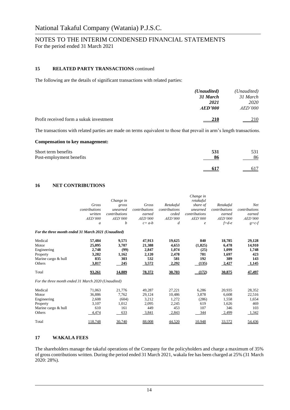## **15 RELATED PARTY TRANSACTIONS** continued

The following are the details of significant transactions with related parties:

|                                         | ( <i>Unaudited</i> )<br>31 March | (Unaudited)<br>31 March |
|-----------------------------------------|----------------------------------|-------------------------|
|                                         | 2021<br>AED'000                  | 2020<br>AED'000         |
| Profit received form a sukuk investment | <u>210</u>                       | 210                     |

The transactions with related parties are made on terms equivalent to those that prevail in arm's length transactions.

### **Compensation to key management:**

| Short term benefits      | 531 | 531 |
|--------------------------|-----|-----|
| Post-employment benefits | 86  | 86  |
|                          |     | 617 |

## **16 NET CONTRIBUTIONS**

|                                                     |                | Change in      |                |               | Change in<br>retakaful |               |                |
|-----------------------------------------------------|----------------|----------------|----------------|---------------|------------------------|---------------|----------------|
|                                                     | Gross          | gross          | Gross          | Retakaful     | share of               | Retakaful     | <b>Net</b>     |
|                                                     | contributions  | unearned       | contributions  | contributions | unearned               | contributions | contributions  |
|                                                     | written        | contributions  | earned         | ceded         | contributions          | earned        | earned         |
|                                                     | <b>AED'000</b> | <b>AED'000</b> | <b>AED'000</b> | AED'000       | AED'000                | AED'000       | <i>AED'000</i> |
|                                                     | a              | b              | $c = a-b$      | d             | $\epsilon$             | $f = d - e$   | $g = c-f$      |
| For the three month ended 31 March 2021 (Unaudited) |                |                |                |               |                        |               |                |
| Medical                                             | 57,484         | 9,571          | 47,913         | 19,625        | 840                    | 18,785        | 29,128         |
| Motor                                               | 25,095         | 3,707          | 21,388         | 4,653         | (1,825)                | 6,478         | 14,910         |
| Engineering                                         | 2,748          | (99)           | 2,847          | 1,074         | (25)                   | 1,099         | 1,748          |
| Property                                            | 3,282          | 1,162          | 2,120          | 2,478         | 781                    | 1.697         | 423            |
| Marine cargo & hull                                 | 835            | 303            | 532            | 581           | 192                    | 389           | 143            |
| Others                                              | 3,817          | 245            | 3,572          | 2,292         | (135)                  | 2,427         | 1,145          |
| Total                                               | 93,261         | 14,889         | 78,372         | 30,703        | (172)                  | 30,875        | 47,497         |
| For the three month ended 31 March 2020 (Unaudited) |                |                |                |               |                        |               |                |
| Medical                                             | 71,063         | 21,776         | 49,287         | 27,221        | 6,286                  | 20,935        | 28,352         |
| Motor                                               | 36.886         | 7.762          | 29,124         | 10,486        | 3,878                  | 6.608         | 22,516         |
| Engineering                                         | 2,608          | (604)          | 3,212          | 1,272         | (286)                  | 1,558         | 1,654          |
| Property                                            | 3,107          | 1,012          | 2,095          | 2,245         | 619                    | 1,626         | 469            |
| Marine cargo & hull                                 | 610            | 161            | 449            | 453           | 107                    | 346           | 103            |
| Others                                              | 4,474          | 633            | 3,841          | 2,843         | 344                    | 2,499         | 1,342          |
| Total                                               | 118,748        | 30,740         | 88,008         | 44,520        | 10,948                 | 33,572        | 54,436         |

## **17 WAKALA FEES**

The shareholders manage the takaful operations of the Company for the policyholders and charge a maximum of 35% of gross contributions written. During the period ended 31 March 2021, wakala fee has been charged at 25% (31 March 2020: 28%).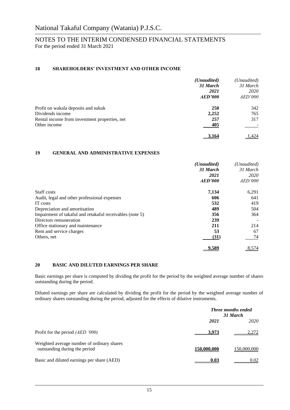## **18 SHAREHOLDERS' INVESTMENT AND OTHER INCOME**

|                                               | ( <i>Unaudited</i> ) | (Unaudited) |
|-----------------------------------------------|----------------------|-------------|
|                                               | 31 March             | 31 March    |
|                                               | 2021                 | <i>2020</i> |
|                                               | AED'000              | AED'000     |
| Profit on wakala deposits and sukuk           | <b>250</b>           | 342         |
| Dividends income                              | 2,252                | 765         |
| Rental income from investment properties, net | 257                  | 317         |
| Other income                                  | 405                  |             |
|                                               | 3,164                | .424        |

## **19 GENERAL AND ADMINISTRATIVE EXPENSES**

|                                                          | ( <i>Unaudited</i> ) | (Unaudited)     |
|----------------------------------------------------------|----------------------|-----------------|
|                                                          | 31 March             | 31 March        |
|                                                          | 2021<br>AED'000      | 2020<br>AED'000 |
|                                                          |                      |                 |
| Staff costs                                              | 7,134                | 6,291           |
| Audit, legal and other professional expenses             | 606                  | 641             |
| IT costs                                                 | 532                  | 419             |
| Depreciation and amortisation                            | 489                  | 504             |
| Impairment of takaful and retakaful receivables (note 5) | 356                  | 364             |
| Directors remuneration                                   | 239                  |                 |
| Office stationary and maintenance                        | 211                  | 214             |
| Rent and service charges                                 | 53                   | 67              |
| Others, net                                              | (31)                 | 74              |
|                                                          | 9.589                | 8,574           |

## **20 BASIC AND DILUTED EARNINGS PER SHARE**

Basic earnings per share is computed by dividing the profit for the period by the weighted average number of shares outstanding during the period.

Diluted earnings per share are calculated by dividing the profit for the period by the weighted average number of ordinary shares outstanding during the period, adjusted for the effects of dilutive instruments.

|                                                                             |             | <b>Three months ended</b><br>31 March |  |
|-----------------------------------------------------------------------------|-------------|---------------------------------------|--|
|                                                                             | 2021        | <i>2020</i>                           |  |
| Profit for the period $(AED 000)$                                           | 3.973       | 2,272                                 |  |
| Weighted average number of ordinary shares<br>outstanding during the period | 150,000,000 | 150,000,000                           |  |
| Basic and diluted earnings per share (AED)                                  | 0.03        | 0.02                                  |  |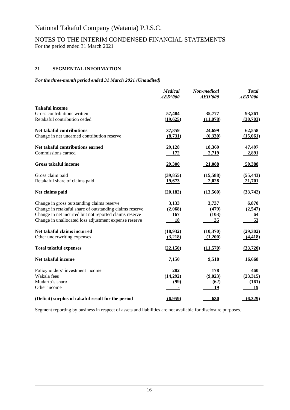# **21 SEGMENTAL INFORMATION**

## *For the three-month period ended 31 March 2021 (Unaudited)*

|                                                         | <b>Medical</b><br><b>AED'000</b> | Non-medical<br><b>AED'000</b> | <b>Total</b><br><b>AED'000</b> |
|---------------------------------------------------------|----------------------------------|-------------------------------|--------------------------------|
| <b>Takaful income</b>                                   |                                  |                               |                                |
| Gross contributions written                             | 57,484                           | 35,777                        | 93,261                         |
| Retakaful contribution ceded                            | (19,625)                         | (11,078)                      | (30,703)                       |
| Net takaful contributions                               | 37,859                           | 24,699                        | 62,558                         |
| Change in net unearned contribution reserve             | (8,731)                          | (6,330)                       | (15,061)                       |
| Net takaful contributions earned                        | 29,128                           | 18,369                        | 47,497                         |
| Commissions earned                                      | 172                              | 2,719                         | 2,891                          |
| <b>Gross takaful income</b>                             | 29,300                           | 21,088                        | 50,388                         |
| Gross claim paid                                        | (39, 855)                        | (15,588)                      | (55, 443)                      |
| Retakaful share of claims paid                          | 19,673                           | 2,028                         | 21,701                         |
| Net claims paid                                         | (20, 182)                        | (13,560)                      | (33,742)                       |
| Change in gross outstanding claims reserve              | 3,133                            | 3,737                         | 6,870                          |
| Change in retakaful share of outstanding claims reserve | (2,068)                          | (479)                         | (2,547)                        |
| Change in net incurred but not reported claims reserve  | 167                              | (103)                         | 64                             |
| Change in unallocated loss adjustment expense reserve   | 18                               | 35                            | 53                             |
| Net takaful claims incurred                             | (18,932)                         | (10,370)                      | (29,302)                       |
| Other underwriting expenses                             | (3,218)                          | (1,200)                       | (4, 418)                       |
| <b>Total takaful expenses</b>                           | (22,150)                         | (11,570)                      | (33, 720)                      |
| Net takaful income                                      | 7,150                            | 9,518                         | 16,668                         |
| Policyholders' investment income                        | 282                              | 178                           | 460                            |
| Wakala fees                                             | (14,292)                         | (9,023)                       | (23,315)                       |
| Mudarib's share                                         | (99)                             | (62)                          | (161)                          |
| Other income                                            |                                  | 19                            | 19                             |
| (Deficit) surplus of takaful result for the period      | (6,959)                          | 630                           | (6,329)                        |

Segment reporting by business in respect of assets and liabilities are not available for disclosure purposes.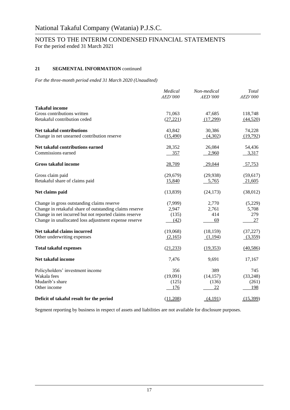# **21 SEGMENTAL INFORMATION** continued

*For the three-month period ended 31 March 2020 (Unaudited)*

|                                                         | Medical<br>AED'000 | Non-medical<br>AED'000 | <b>Total</b><br>AED'000 |
|---------------------------------------------------------|--------------------|------------------------|-------------------------|
| <b>Takaful income</b>                                   |                    |                        |                         |
| Gross contributions written                             | 71,063             | 47,685                 | 118,748                 |
| Retakaful contribution ceded                            | (27, 221)          | (17,299)               | (44,520)                |
| <b>Net takaful contributions</b>                        | 43,842             | 30,386                 | 74,228                  |
| Change in net unearned contribution reserve             | (15,490)           | (4,302)                | (19,792)                |
| Net takaful contributions earned                        | 28,352             | 26,084                 | 54,436                  |
| Commissions earned                                      | 357                | 2,960                  | 3,317                   |
| <b>Gross takaful income</b>                             | 28,709             | 29,044                 | 57,753                  |
| Gross claim paid                                        | (29, 679)          | (29, 938)              | (59, 617)               |
| Retakaful share of claims paid                          | 15,840             | 5,765                  | 21,605                  |
| Net claims paid                                         | (13, 839)          | (24, 173)              | (38,012)                |
| Change in gross outstanding claims reserve              | (7,999)            | 2,770                  | (5,229)                 |
| Change in retakaful share of outstanding claims reserve | 2,947              | 2,761                  | 5,708                   |
| Change in net incurred but not reported claims reserve  | (135)              | 414                    | 279                     |
| Change in unallocated loss adjustment expense reserve   | (42)               | 69                     | 27                      |
| Net takaful claims incurred                             | (19,068)           | (18, 159)              | (37, 227)               |
| Other underwriting expenses                             | (2,165)            | (1,194)                | (3,359)                 |
| <b>Total takaful expenses</b>                           | (21, 233)          | (19,353)               | (40, 586)               |
| Net takaful income                                      | 7,476              | 9,691                  | 17,167                  |
| Policyholders' investment income                        | 356                | 389                    | 745                     |
| Wakala fees                                             | (19,091)           | (14, 157)              | (33,248)                |
| Mudarib's share                                         | (125)              | (136)                  | (261)                   |
| Other income                                            | 176                | 22                     | 198                     |
| Deficit of takaful result for the period                | (11,208)           | (4,191)                | (15,399)                |

Segment reporting by business in respect of assets and liabilities are not available for disclosure purposes.